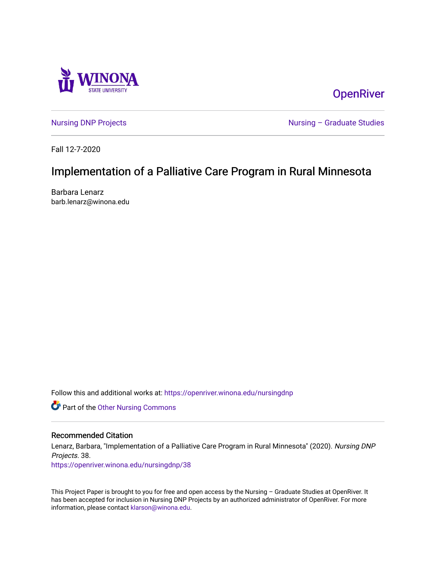

**OpenRiver** 

[Nursing DNP Projects](https://openriver.winona.edu/nursingdnp) **Nursing – Graduate Studies** 

Fall 12-7-2020

# Implementation of a Palliative Care Program in Rural Minnesota

Barbara Lenarz barb.lenarz@winona.edu

Follow this and additional works at: [https://openriver.winona.edu/nursingdnp](https://openriver.winona.edu/nursingdnp?utm_source=openriver.winona.edu%2Fnursingdnp%2F38&utm_medium=PDF&utm_campaign=PDFCoverPages) 

Part of the [Other Nursing Commons](http://network.bepress.com/hgg/discipline/729?utm_source=openriver.winona.edu%2Fnursingdnp%2F38&utm_medium=PDF&utm_campaign=PDFCoverPages)

### Recommended Citation

Lenarz, Barbara, "Implementation of a Palliative Care Program in Rural Minnesota" (2020). Nursing DNP Projects. 38.

[https://openriver.winona.edu/nursingdnp/38](https://openriver.winona.edu/nursingdnp/38?utm_source=openriver.winona.edu%2Fnursingdnp%2F38&utm_medium=PDF&utm_campaign=PDFCoverPages)

This Project Paper is brought to you for free and open access by the Nursing – Graduate Studies at OpenRiver. It has been accepted for inclusion in Nursing DNP Projects by an authorized administrator of OpenRiver. For more information, please contact [klarson@winona.edu](mailto:klarson@winona.edu).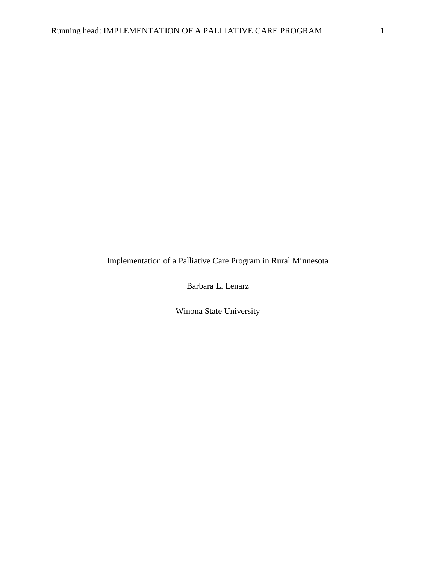Implementation of a Palliative Care Program in Rural Minnesota

Barbara L. Lenarz

Winona State University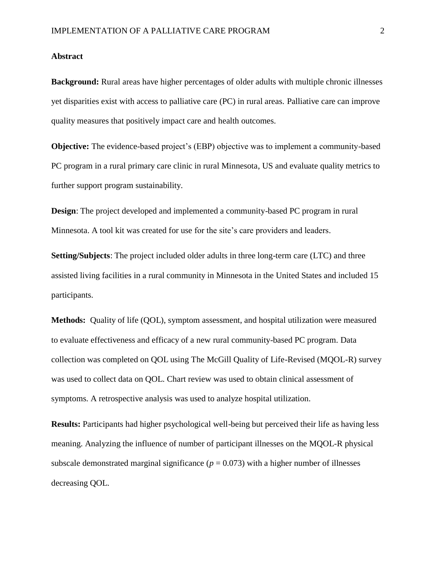#### **Abstract**

**Background:** Rural areas have higher percentages of older adults with multiple chronic illnesses yet disparities exist with access to palliative care (PC) in rural areas. Palliative care can improve quality measures that positively impact care and health outcomes.

**Objective:** The evidence-based project's (EBP) objective was to implement a community-based PC program in a rural primary care clinic in rural Minnesota, US and evaluate quality metrics to further support program sustainability.

**Design**: The project developed and implemented a community-based PC program in rural Minnesota. A tool kit was created for use for the site's care providers and leaders.

**Setting/Subjects**: The project included older adults in three long-term care (LTC) and three assisted living facilities in a rural community in Minnesota in the United States and included 15 participants.

**Methods:** Quality of life (QOL), symptom assessment, and hospital utilization were measured to evaluate effectiveness and efficacy of a new rural community-based PC program. Data collection was completed on QOL using The McGill Quality of Life-Revised (MQOL-R) survey was used to collect data on QOL. Chart review was used to obtain clinical assessment of symptoms. A retrospective analysis was used to analyze hospital utilization.

**Results:** Participants had higher psychological well-being but perceived their life as having less meaning. Analyzing the influence of number of participant illnesses on the MQOL-R physical subscale demonstrated marginal significance  $(p = 0.073)$  with a higher number of illnesses decreasing QOL.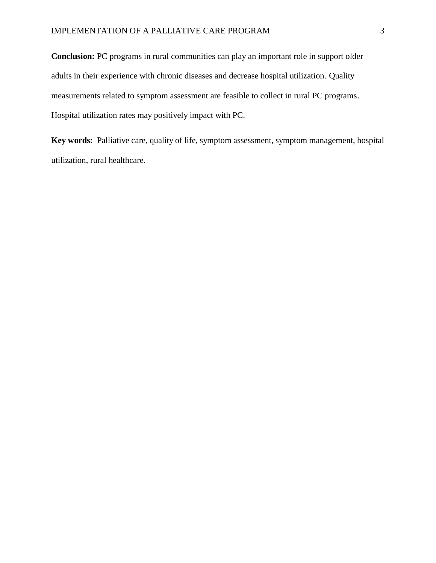**Conclusion:** PC programs in rural communities can play an important role in support older adults in their experience with chronic diseases and decrease hospital utilization. Quality measurements related to symptom assessment are feasible to collect in rural PC programs. Hospital utilization rates may positively impact with PC.

**Key words:** Palliative care, quality of life, symptom assessment, symptom management, hospital utilization, rural healthcare.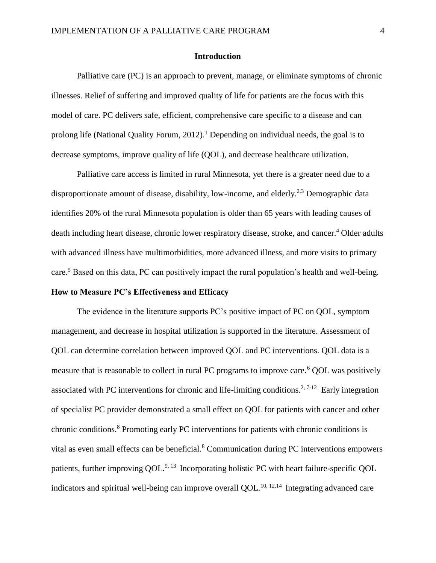#### **Introduction**

Palliative care (PC) is an approach to prevent, manage, or eliminate symptoms of chronic illnesses. Relief of suffering and improved quality of life for patients are the focus with this model of care. PC delivers safe, efficient, comprehensive care specific to a disease and can prolong life (National Quality Forum, 2012).<sup>1</sup> Depending on individual needs, the goal is to decrease symptoms, improve quality of life (QOL), and decrease healthcare utilization.

Palliative care access is limited in rural Minnesota, yet there is a greater need due to a disproportionate amount of disease, disability, low-income, and elderly.<sup>2,3</sup> Demographic data identifies 20% of the rural Minnesota population is older than 65 years with leading causes of death including heart disease, chronic lower respiratory disease, stroke, and cancer. <sup>4</sup> Older adults with advanced illness have multimorbidities, more advanced illness, and more visits to primary care.<sup>5</sup> Based on this data, PC can positively impact the rural population's health and well-being.

# **How to Measure PC's Effectiveness and Efficacy**

The evidence in the literature supports PC's positive impact of PC on QOL, symptom management, and decrease in hospital utilization is supported in the literature. Assessment of QOL can determine correlation between improved QOL and PC interventions. QOL data is a measure that is reasonable to collect in rural PC programs to improve care.<sup>6</sup> QOL was positively associated with PC interventions for chronic and life-limiting conditions.<sup>2, 7-12</sup> Early integration of specialist PC provider demonstrated a small effect on QOL for patients with cancer and other chronic conditions.<sup>8</sup> Promoting early PC interventions for patients with chronic conditions is vital as even small effects can be beneficial.<sup>8</sup> Communication during PC interventions empowers patients, further improving QOL.<sup>9, 13</sup> Incorporating holistic PC with heart failure-specific QOL indicators and spiritual well-being can improve overall QOL.<sup>10, 12,14</sup> Integrating advanced care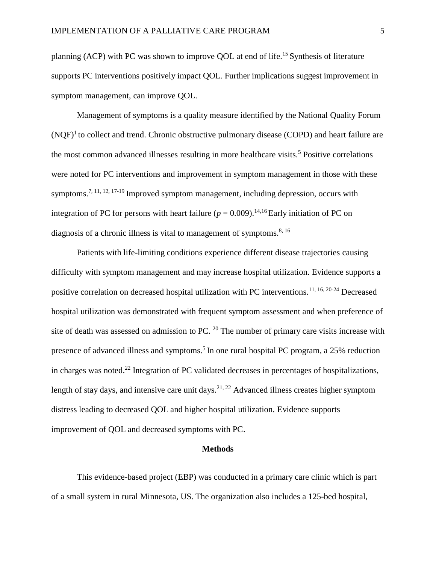planning (ACP) with PC was shown to improve QOL at end of life.<sup>15</sup> Synthesis of literature supports PC interventions positively impact QOL. Further implications suggest improvement in symptom management, can improve QOL.

Management of symptoms is a quality measure identified by the National Quality Forum  $(NQF)^1$  to collect and trend. Chronic obstructive pulmonary disease (COPD) and heart failure are the most common advanced illnesses resulting in more healthcare visits.<sup>5</sup> Positive correlations were noted for PC interventions and improvement in symptom management in those with these symptoms.<sup>7, 11, 12, 17-19</sup> Improved symptom management, including depression, occurs with integration of PC for persons with heart failure  $(p = 0.009)$ .<sup>14,16</sup> Early initiation of PC on diagnosis of a chronic illness is vital to management of symptoms.<sup>8, 16</sup>

Patients with life-limiting conditions experience different disease trajectories causing difficulty with symptom management and may increase hospital utilization. Evidence supports a positive correlation on decreased hospital utilization with PC interventions.11, 16, 20-24 Decreased hospital utilization was demonstrated with frequent symptom assessment and when preference of site of death was assessed on admission to PC. <sup>20</sup> The number of primary care visits increase with presence of advanced illness and symptoms.<sup>5</sup> In one rural hospital PC program, a 25% reduction in charges was noted.<sup>22</sup> Integration of PC validated decreases in percentages of hospitalizations, length of stay days, and intensive care unit days.<sup>21, 22</sup> Advanced illness creates higher symptom distress leading to decreased QOL and higher hospital utilization. Evidence supports improvement of QOL and decreased symptoms with PC.

#### **Methods**

This evidence-based project (EBP) was conducted in a primary care clinic which is part of a small system in rural Minnesota, US. The organization also includes a 125-bed hospital,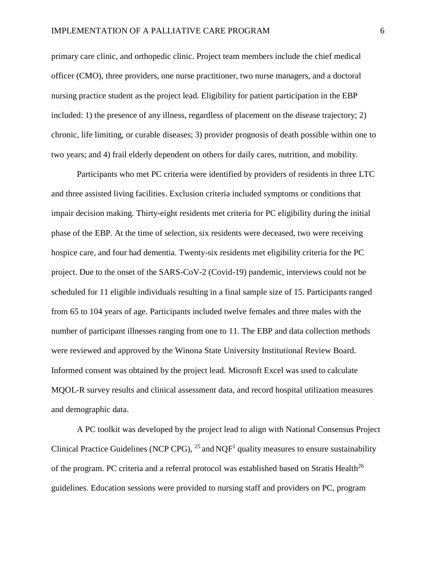primary care clinic, and orthopedic clinic. Project team members include the chief medical officer (CMO), three providers, one nurse practitioner, two nurse managers, and a doctoral nursing practice student as the project lead. Eligibility for patient participation in the EBP included: 1) the presence of any illness, regardless of placement on the disease trajectory; 2) chronic, life limiting, or curable diseases; 3) provider prognosis of death possible within one to two years; and 4) frail elderly dependent on others for daily cares, nutrition, and mobility.

Participants who met PC criteria were identified by providers of residents in three LTC and three assisted living facilities. Exclusion criteria included symptoms or conditions that impair decision making. Thirty-eight residents met criteria for PC eligibility during the initial phase of the EBP. At the time of selection, six residents were deceased, two were receiving hospice care, and four had dementia. Twenty-six residents met eligibility criteria for the PC project. Due to the onset of the SARS-CoV-2 (Covid-19) pandemic, interviews could not be scheduled for 11 eligible individuals resulting in a final sample size of 15. Participants ranged from 65 to 104 years of age. Participants included twelve females and three males with the number of participant illnesses ranging from one to 11. The EBP and data collection methods were reviewed and approved by the Winona State University Institutional Review Board. Informed consent was obtained by the project lead. Microsoft Excel was used to calculate MQOL-R survey results and clinical assessment data, and record hospital utilization measures and demographic data.

A PC toolkit was developed by the project lead to align with National Consensus Project Clinical Practice Guidelines (NCP CPG),  $^{25}$  and NQF<sup>1</sup> quality measures to ensure sustainability of the program. PC criteria and a referral protocol was established based on Stratis Health<sup>26</sup> guidelines. Education sessions were provided to nursing staff and providers on PC, program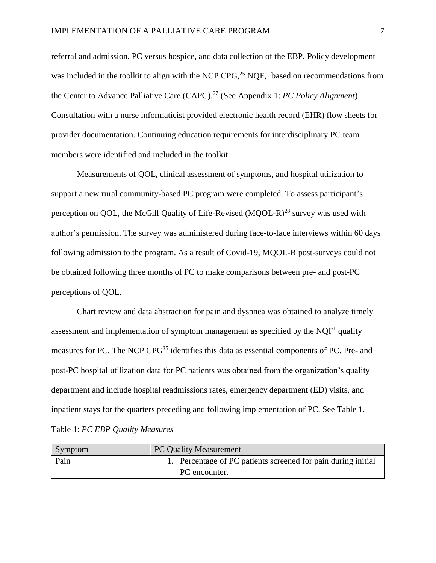referral and admission, PC versus hospice, and data collection of the EBP. Policy development was included in the toolkit to align with the NCP CPG,<sup>25</sup> NQF,<sup>1</sup> based on recommendations from the Center to Advance Palliative Care (CAPC). <sup>27</sup> (See Appendix 1: *PC Policy Alignment*). Consultation with a nurse informaticist provided electronic health record (EHR) flow sheets for provider documentation. Continuing education requirements for interdisciplinary PC team members were identified and included in the toolkit.

Measurements of QOL, clinical assessment of symptoms, and hospital utilization to support a new rural community-based PC program were completed. To assess participant's perception on OOL, the McGill Quality of Life-Revised (MOOL-R)<sup>28</sup> survey was used with author's permission. The survey was administered during face-to-face interviews within 60 days following admission to the program. As a result of Covid-19, MQOL-R post-surveys could not be obtained following three months of PC to make comparisons between pre- and post-PC perceptions of QOL.

Chart review and data abstraction for pain and dyspnea was obtained to analyze timely assessment and implementation of symptom management as specified by the NQF<sup>1</sup> quality measures for PC. The NCP CPG<sup>25</sup> identifies this data as essential components of PC. Pre- and post-PC hospital utilization data for PC patients was obtained from the organization's quality department and include hospital readmissions rates, emergency department (ED) visits, and inpatient stays for the quarters preceding and following implementation of PC. See Table 1*.* Table 1: *PC EBP Quality Measures*

| Symptom | <b>PC Quality Measurement</b>                                 |
|---------|---------------------------------------------------------------|
| Pain    | 1. Percentage of PC patients screened for pain during initial |
|         | PC encounter.                                                 |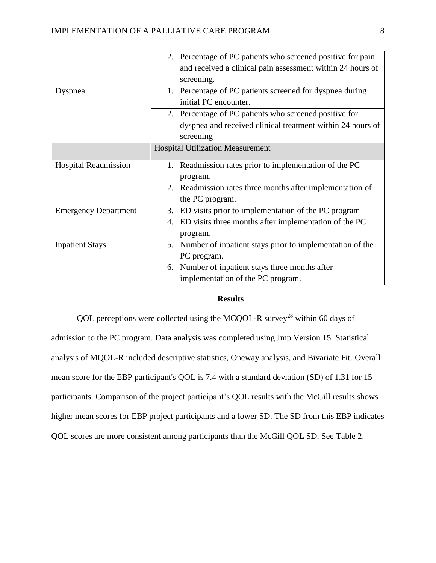|                             | 2. Percentage of PC patients who screened positive for pain    |
|-----------------------------|----------------------------------------------------------------|
|                             | and received a clinical pain assessment within 24 hours of     |
|                             | screening.                                                     |
| Dyspnea                     | Percentage of PC patients screened for dyspnea during<br>1.    |
|                             | initial PC encounter.                                          |
|                             | 2. Percentage of PC patients who screened positive for         |
|                             | dyspnea and received clinical treatment within 24 hours of     |
|                             | screening                                                      |
|                             | <b>Hospital Utilization Measurement</b>                        |
| <b>Hospital Readmission</b> | Readmission rates prior to implementation of the PC<br>1.      |
|                             | program.                                                       |
|                             | 2. Readmission rates three months after implementation of      |
|                             | the PC program.                                                |
| <b>Emergency Department</b> | 3. ED visits prior to implementation of the PC program         |
|                             | ED visits three months after implementation of the PC<br>4.    |
|                             | program.                                                       |
| <b>Inpatient Stays</b>      | Number of inpatient stays prior to implementation of the<br>5. |
|                             | PC program.                                                    |
|                             | 6. Number of inpatient stays three months after                |
|                             | implementation of the PC program.                              |

# **Results**

QOL perceptions were collected using the MCQOL-R survey<sup>28</sup> within 60 days of admission to the PC program. Data analysis was completed using Jmp Version 15. Statistical analysis of MQOL-R included descriptive statistics, Oneway analysis, and Bivariate Fit. Overall mean score for the EBP participant's QOL is 7.4 with a standard deviation (SD) of 1.31 for 15 participants. Comparison of the project participant's QOL results with the McGill results shows higher mean scores for EBP project participants and a lower SD. The SD from this EBP indicates QOL scores are more consistent among participants than the McGill QOL SD. See Table 2.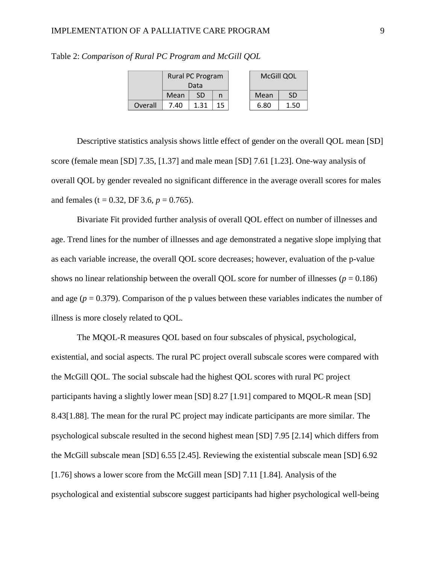#### IMPLEMENTATION OF A PALLIATIVE CARE PROGRAM 9

|         | Rural PC Program |           |    | McGill QOL |      |
|---------|------------------|-----------|----|------------|------|
|         | Data             |           |    |            |      |
|         | Mean             | <b>SD</b> |    | Mean       | SD   |
| Overall | 7.40             | 1.31      | 15 | 6.80       | 1.50 |

Table 2: *Comparison of Rural PC Program and McGill QOL*

Descriptive statistics analysis shows little effect of gender on the overall QOL mean [SD] score (female mean [SD] 7.35, [1.37] and male mean [SD] 7.61 [1.23]. One-way analysis of overall QOL by gender revealed no significant difference in the average overall scores for males and females (t = 0.32, DF 3.6,  $p = 0.765$ ).

Bivariate Fit provided further analysis of overall QOL effect on number of illnesses and age. Trend lines for the number of illnesses and age demonstrated a negative slope implying that as each variable increase, the overall QOL score decreases; however, evaluation of the p-value shows no linear relationship between the overall QOL score for number of illnesses ( $p = 0.186$ ) and age  $(p = 0.379)$ . Comparison of the p values between these variables indicates the number of illness is more closely related to QOL.

The MQOL-R measures QOL based on four subscales of physical, psychological, existential, and social aspects. The rural PC project overall subscale scores were compared with the McGill QOL. The social subscale had the highest QOL scores with rural PC project participants having a slightly lower mean [SD] 8.27 [1.91] compared to MQOL-R mean [SD] 8.43[1.88]. The mean for the rural PC project may indicate participants are more similar. The psychological subscale resulted in the second highest mean [SD] 7.95 [2.14] which differs from the McGill subscale mean [SD] 6.55 [2.45]. Reviewing the existential subscale mean [SD] 6.92 [1.76] shows a lower score from the McGill mean [SD] 7.11 [1.84]. Analysis of the psychological and existential subscore suggest participants had higher psychological well-being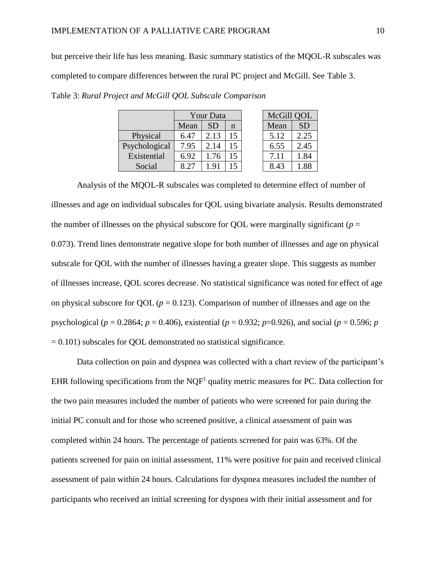but perceive their life has less meaning. Basic summary statistics of the MQOL-R subscales was completed to compare differences between the rural PC project and McGill. See Table 3.

|               | Your Data |      |    | McGill QOL |           |
|---------------|-----------|------|----|------------|-----------|
|               | Mean      | SD   | n  | Mean       | <b>SD</b> |
| Physical      | 6.47      | 2.13 | 15 | 5.12       | 2.25      |
| Psychological | 7.95      | 2.14 | 15 | 6.55       | 2.45      |
| Existential   | 6.92      | 1.76 | 15 | 7.11       | 1.84      |
| Social        |           | Q    | 15 | 8.43       | .88       |

Table 3: *Rural Project and McGill QOL Subscale Comparison*

Analysis of the MQOL-R subscales was completed to determine effect of number of illnesses and age on individual subscales for QOL using bivariate analysis. Results demonstrated the number of illnesses on the physical subscore for QOL were marginally significant ( $p =$ 0.073). Trend lines demonstrate negative slope for both number of illnesses and age on physical subscale for QOL with the number of illnesses having a greater slope. This suggests as number of illnesses increase, QOL scores decrease. No statistical significance was noted for effect of age on physical subscore for QOL ( $p = 0.123$ ). Comparison of number of illnesses and age on the psychological ( $p = 0.2864$ ;  $p = 0.406$ ), existential ( $p = 0.932$ ;  $p=0.926$ ), and social ( $p = 0.596$ ;  $p = 0.932$ ;  $p=0.932$ ;  $p=0.926$ ), and social ( $p = 0.596$ ;  $p = 0.932$ ;  $p=0.932$ ;  $p=0.932$ ;  $p=0.932$ ;  $p=0.932$ ;  $p=0$  $= 0.101$ ) subscales for QOL demonstrated no statistical significance.

Data collection on pain and dyspnea was collected with a chart review of the participant's EHR following specifications from the  $NQF<sup>1</sup>$  quality metric measures for PC. Data collection for the two pain measures included the number of patients who were screened for pain during the initial PC consult and for those who screened positive, a clinical assessment of pain was completed within 24 hours. The percentage of patients screened for pain was 63%. Of the patients screened for pain on initial assessment, 11% were positive for pain and received clinical assessment of pain within 24 hours. Calculations for dyspnea measures included the number of participants who received an initial screening for dyspnea with their initial assessment and for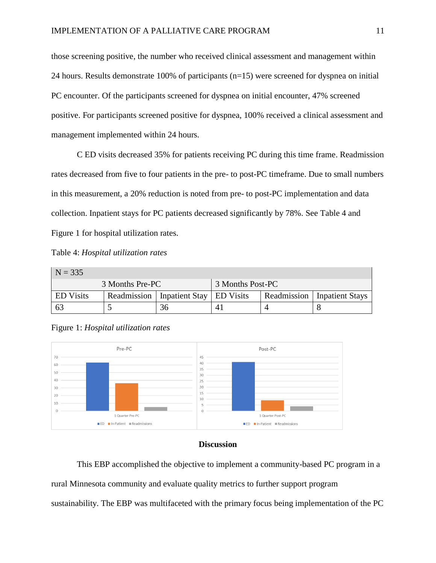those screening positive, the number who received clinical assessment and management within 24 hours. Results demonstrate 100% of participants (n=15) were screened for dyspnea on initial PC encounter. Of the participants screened for dyspnea on initial encounter, 47% screened positive. For participants screened positive for dyspnea, 100% received a clinical assessment and management implemented within 24 hours.

C ED visits decreased 35% for patients receiving PC during this time frame. Readmission rates decreased from five to four patients in the pre- to post-PC timeframe. Due to small numbers in this measurement, a 20% reduction is noted from pre- to post-PC implementation and data collection. Inpatient stays for PC patients decreased significantly by 78%. See Table 4 and Figure 1 for hospital utilization rates.

 $N - 335$ 

| $\cdots$         |  |                                          |  |  |                                      |
|------------------|--|------------------------------------------|--|--|--------------------------------------|
| 3 Months Pre-PC  |  | 3 Months Post-PC                         |  |  |                                      |
| <b>ED</b> Visits |  | Readmission   Inpatient Stay   ED Visits |  |  | <b>Readmission</b>   Inpatient Stays |
| -63              |  | 36                                       |  |  |                                      |





### **Discussion**

This EBP accomplished the objective to implement a community-based PC program in a

rural Minnesota community and evaluate quality metrics to further support program

sustainability. The EBP was multifaceted with the primary focus being implementation of the PC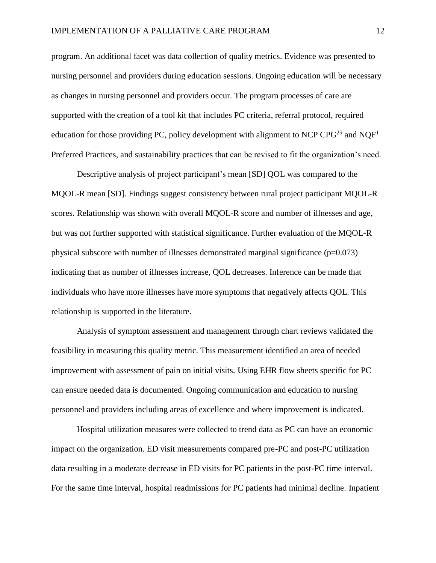program. An additional facet was data collection of quality metrics. Evidence was presented to nursing personnel and providers during education sessions. Ongoing education will be necessary as changes in nursing personnel and providers occur. The program processes of care are supported with the creation of a tool kit that includes PC criteria, referral protocol, required education for those providing PC, policy development with alignment to NCP CPG<sup>25</sup> and NQF<sup>1</sup> Preferred Practices, and sustainability practices that can be revised to fit the organization's need.

Descriptive analysis of project participant's mean [SD] QOL was compared to the MQOL-R mean [SD]. Findings suggest consistency between rural project participant MQOL-R scores. Relationship was shown with overall MQOL-R score and number of illnesses and age, but was not further supported with statistical significance. Further evaluation of the MQOL-R physical subscore with number of illnesses demonstrated marginal significance  $(p=0.073)$ indicating that as number of illnesses increase, QOL decreases. Inference can be made that individuals who have more illnesses have more symptoms that negatively affects QOL. This relationship is supported in the literature.

Analysis of symptom assessment and management through chart reviews validated the feasibility in measuring this quality metric. This measurement identified an area of needed improvement with assessment of pain on initial visits. Using EHR flow sheets specific for PC can ensure needed data is documented. Ongoing communication and education to nursing personnel and providers including areas of excellence and where improvement is indicated.

Hospital utilization measures were collected to trend data as PC can have an economic impact on the organization. ED visit measurements compared pre-PC and post-PC utilization data resulting in a moderate decrease in ED visits for PC patients in the post-PC time interval. For the same time interval, hospital readmissions for PC patients had minimal decline. Inpatient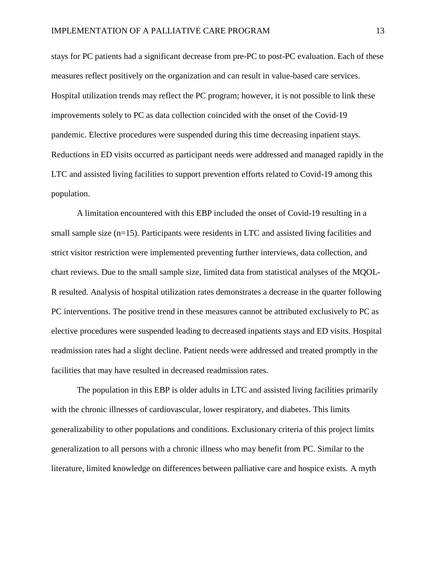stays for PC patients had a significant decrease from pre-PC to post-PC evaluation. Each of these measures reflect positively on the organization and can result in value-based care services. Hospital utilization trends may reflect the PC program; however, it is not possible to link these improvements solely to PC as data collection coincided with the onset of the Covid-19 pandemic. Elective procedures were suspended during this time decreasing inpatient stays. Reductions in ED visits occurred as participant needs were addressed and managed rapidly in the LTC and assisted living facilities to support prevention efforts related to Covid-19 among this population.

A limitation encountered with this EBP included the onset of Covid-19 resulting in a small sample size (n=15). Participants were residents in LTC and assisted living facilities and strict visitor restriction were implemented preventing further interviews, data collection, and chart reviews. Due to the small sample size, limited data from statistical analyses of the MQOL-R resulted. Analysis of hospital utilization rates demonstrates a decrease in the quarter following PC interventions. The positive trend in these measures cannot be attributed exclusively to PC as elective procedures were suspended leading to decreased inpatients stays and ED visits. Hospital readmission rates had a slight decline. Patient needs were addressed and treated promptly in the facilities that may have resulted in decreased readmission rates.

The population in this EBP is older adults in LTC and assisted living facilities primarily with the chronic illnesses of cardiovascular, lower respiratory, and diabetes. This limits generalizability to other populations and conditions. Exclusionary criteria of this project limits generalization to all persons with a chronic illness who may benefit from PC. Similar to the literature, limited knowledge on differences between palliative care and hospice exists. A myth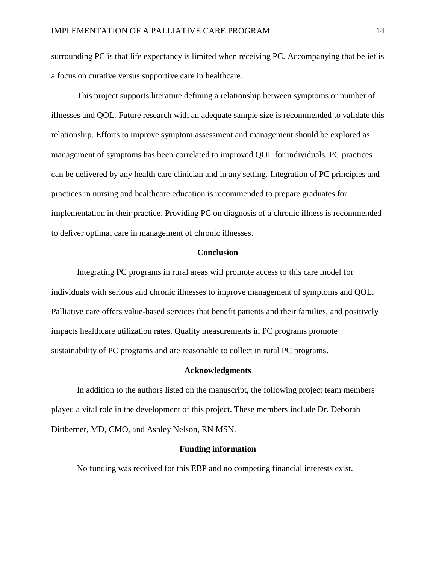surrounding PC is that life expectancy is limited when receiving PC. Accompanying that belief is a focus on curative versus supportive care in healthcare.

This project supports literature defining a relationship between symptoms or number of illnesses and QOL. Future research with an adequate sample size is recommended to validate this relationship. Efforts to improve symptom assessment and management should be explored as management of symptoms has been correlated to improved QOL for individuals. PC practices can be delivered by any health care clinician and in any setting. Integration of PC principles and practices in nursing and healthcare education is recommended to prepare graduates for implementation in their practice. Providing PC on diagnosis of a chronic illness is recommended to deliver optimal care in management of chronic illnesses.

#### **Conclusion**

Integrating PC programs in rural areas will promote access to this care model for individuals with serious and chronic illnesses to improve management of symptoms and QOL. Palliative care offers value-based services that benefit patients and their families, and positively impacts healthcare utilization rates. Quality measurements in PC programs promote sustainability of PC programs and are reasonable to collect in rural PC programs.

#### **Acknowledgments**

In addition to the authors listed on the manuscript, the following project team members played a vital role in the development of this project. These members include Dr. Deborah Dittberner, MD, CMO, and Ashley Nelson, RN MSN.

#### **Funding information**

No funding was received for this EBP and no competing financial interests exist.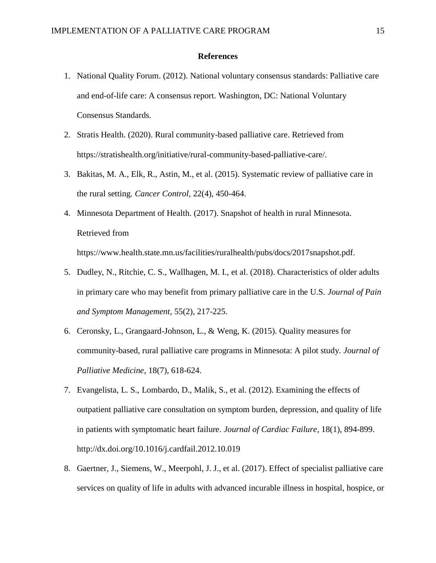#### **References**

- 1. National Quality Forum. (2012). National voluntary consensus standards: Palliative care and end-of-life care: A consensus report. Washington, DC: National Voluntary Consensus Standards.
- 2. Stratis Health. (2020). Rural community-based palliative care. Retrieved from https://stratishealth.org/initiative/rural-community-based-palliative-care/.
- 3. Bakitas, M. A., Elk, R., Astin, M., et al. (2015). Systematic review of palliative care in the rural setting. *Cancer Control*, 22(4), 450-464.
- 4. Minnesota Department of Health. (2017). Snapshot of health in rural Minnesota. Retrieved from

https://www.health.state.mn.us/facilities/ruralhealth/pubs/docs/2017snapshot.pdf.

- 5. Dudley, N., Ritchie, C. S., Wallhagen, M. I., et al. (2018). Characteristics of older adults in primary care who may benefit from primary palliative care in the U.S. *Journal of Pain and Symptom Management,* 55(2), 217-225.
- 6. Ceronsky, L., Grangaard-Johnson, L., & Weng, K. (2015). Quality measures for community-based, rural palliative care programs in Minnesota: A pilot study. *Journal of Palliative Medicine*, 18(7), 618-624.
- 7. Evangelista, L. S., Lombardo, D., Malik, S., et al. (2012). Examining the effects of outpatient palliative care consultation on symptom burden, depression, and quality of life in patients with symptomatic heart failure. *Journal of Cardiac Failure*, 18(1), 894-899. http://dx.doi.org/10.1016/j.cardfail.2012.10.019
- 8. Gaertner, J., Siemens, W., Meerpohl, J. J., et al. (2017). Effect of specialist palliative care services on quality of life in adults with advanced incurable illness in hospital, hospice, or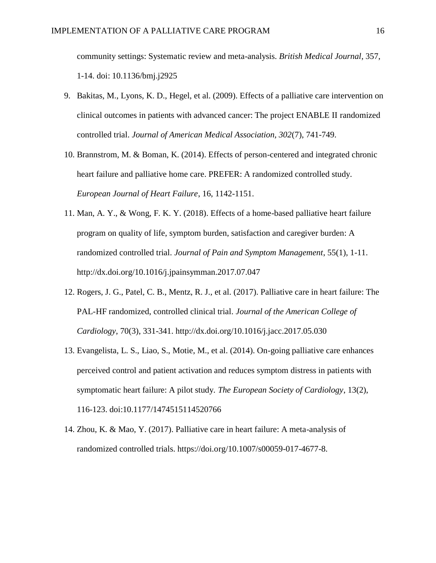community settings: Systematic review and meta-analysis. *British Medical Journal*, 357, 1-14. doi: 10.1136/bmj.j2925

- 9. Bakitas, M., Lyons, K. D., Hegel, et al. (2009). Effects of a palliative care intervention on clinical outcomes in patients with advanced cancer: The project ENABLE II randomized controlled trial. *Journal of American Medical Association, 302*(7), 741-749.
- 10. Brannstrom, M. & Boman, K. (2014). Effects of person-centered and integrated chronic heart failure and palliative home care. PREFER: A randomized controlled study. *European Journal of Heart Failure*, 16, 1142-1151.
- 11. Man, A. Y., & Wong, F. K. Y. (2018). Effects of a home-based palliative heart failure program on quality of life, symptom burden, satisfaction and caregiver burden: A randomized controlled trial. *Journal of Pain and Symptom Management*, 55(1), 1-11. http://dx.doi.org/10.1016/j.jpainsymman.2017.07.047
- 12. Rogers, J. G., Patel, C. B., Mentz, R. J., et al. (2017). Palliative care in heart failure: The PAL-HF randomized, controlled clinical trial. *Journal of the American College of Cardiology*, 70(3), 331-341. http://dx.doi.org/10.1016/j.jacc.2017.05.030
- 13. Evangelista, L. S., Liao, S., Motie, M., et al. (2014). On-going palliative care enhances perceived control and patient activation and reduces symptom distress in patients with symptomatic heart failure: A pilot study. *The European Society of Cardiology*, 13(2), 116-123. doi:10.1177/1474515114520766
- 14. Zhou, K. & Mao, Y. (2017). Palliative care in heart failure: A meta-analysis of randomized controlled trials. https://doi.org/10.1007/s00059-017-4677-8.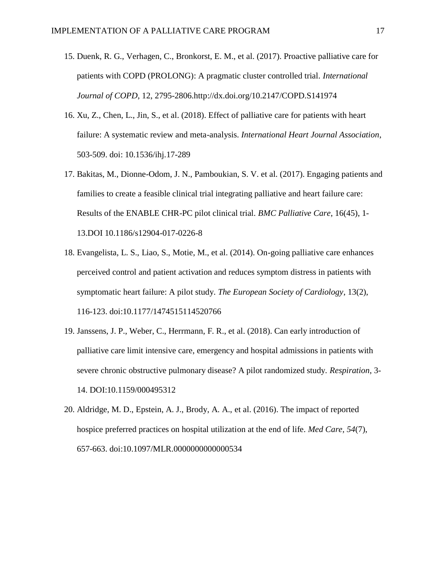- 15. Duenk, R. G., Verhagen, C., Bronkorst, E. M., et al. (2017). Proactive palliative care for patients with COPD (PROLONG): A pragmatic cluster controlled trial. *International Journal of COPD*, 12, 2795-2806.http://dx.doi.org/10.2147/COPD.S141974
- 16. Xu, Z., Chen, L., Jin, S., et al. (2018). Effect of palliative care for patients with heart failure: A systematic review and meta-analysis. *International Heart Journal Association*, 503-509. doi: 10.1536/ihj.17-289
- 17. Bakitas, M., Dionne-Odom, J. N., Pamboukian, S. V. et al. (2017). Engaging patients and families to create a feasible clinical trial integrating palliative and heart failure care: Results of the ENABLE CHR-PC pilot clinical trial. *BMC Palliative Care*, 16(45), 1- 13.DOI 10.1186/s12904-017-0226-8
- 18. Evangelista, L. S., Liao, S., Motie, M., et al. (2014). On-going palliative care enhances perceived control and patient activation and reduces symptom distress in patients with symptomatic heart failure: A pilot study. *The European Society of Cardiology*, 13(2), 116-123. doi:10.1177/1474515114520766
- 19. Janssens, J. P., Weber, C., Herrmann, F. R., et al. (2018). Can early introduction of palliative care limit intensive care, emergency and hospital admissions in patients with severe chronic obstructive pulmonary disease? A pilot randomized study. *Respiration*, 3- 14. DOI:10.1159/000495312
- 20. Aldridge, M. D., Epstein, A. J., Brody, A. A., et al. (2016). The impact of reported hospice preferred practices on hospital utilization at the end of life. *Med Care, 54*(7), 657-663. doi:10.1097/MLR.0000000000000534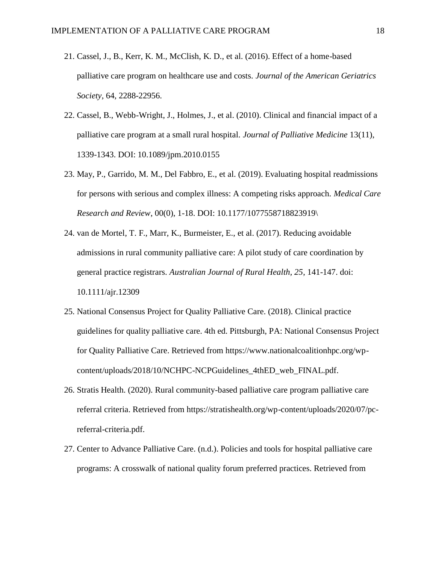- 21. Cassel, J., B., Kerr, K. M., McClish, K. D., et al. (2016). Effect of a home-based palliative care program on healthcare use and costs. *Journal of the American Geriatrics Society*, 64, 2288-22956.
- 22. Cassel, B., Webb-Wright, J., Holmes, J., et al. (2010). Clinical and financial impact of a palliative care program at a small rural hospital. *Journal of Palliative Medicine* 13(11), 1339-1343. DOI: 10.1089/jpm.2010.0155
- 23. May, P., Garrido, M. M., Del Fabbro, E., et al. (2019). Evaluating hospital readmissions for persons with serious and complex illness: A competing risks approach. *Medical Care Research and Review*, 00(0), 1-18. DOI: 10.1177/1077558718823919\
- 24. van de Mortel, T. F., Marr, K., Burmeister, E., et al. (2017). Reducing avoidable admissions in rural community palliative care: A pilot study of care coordination by general practice registrars. *Australian Journal of Rural Health, 25*, 141-147. doi: 10.1111/ajr.12309
- 25. National Consensus Project for Quality Palliative Care. (2018). Clinical practice guidelines for quality palliative care. 4th ed. Pittsburgh, PA: National Consensus Project for Quality Palliative Care. Retrieved from https://www.nationalcoalitionhpc.org/wpcontent/uploads/2018/10/NCHPC-NCPGuidelines\_4thED\_web\_FINAL.pdf.
- 26. Stratis Health. (2020). Rural community-based palliative care program palliative care referral criteria. Retrieved from https://stratishealth.org/wp-content/uploads/2020/07/pcreferral-criteria.pdf.
- 27. Center to Advance Palliative Care. (n.d.). Policies and tools for hospital palliative care programs: A crosswalk of national quality forum preferred practices. Retrieved from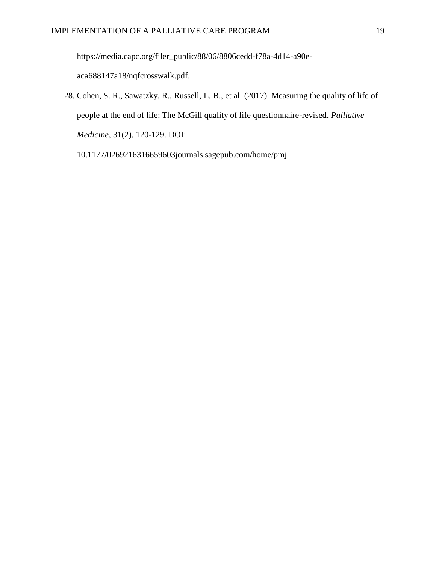https://media.capc.org/filer\_public/88/06/8806cedd-f78a-4d14-a90e-

aca688147a18/nqfcrosswalk.pdf.

28. Cohen, S. R., Sawatzky, R., Russell, L. B., et al. (2017). Measuring the quality of life of people at the end of life: The McGill quality of life questionnaire-revised. *Palliative Medicine*, 31(2), 120-129. DOI:

10.1177/0269216316659603journals.sagepub.com/home/pmj